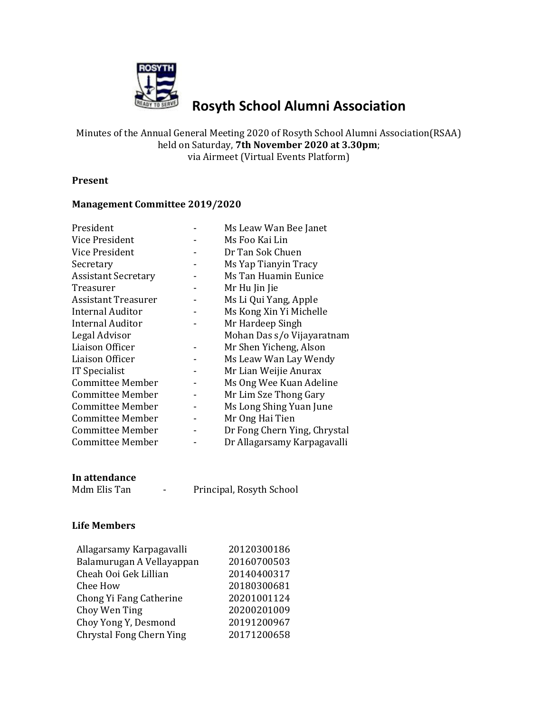

# **Rosyth School Alumni Association**

## Minutes of the Annual General Meeting 2020 of Rosyth School Alumni Association(RSAA) held on Saturday, **7th November 2020 at 3.30pm**; via Airmeet (Virtual Events Platform)

#### **Present**

# **Management Committee 2019/2020**

| President           | Ms Leaw Wan Bee Janet        |
|---------------------|------------------------------|
| Vice President      | Ms Foo Kai Lin               |
| Vice President      | Dr Tan Sok Chuen             |
| Secretary           | Ms Yap Tianyin Tracy         |
| Assistant Secretary | Ms Tan Huamin Eunice         |
| Treasurer           | Mr Hu Jin Jie                |
| Assistant Treasurer | Ms Li Qui Yang, Apple        |
| Internal Auditor    | Ms Kong Xin Yi Michelle      |
| Internal Auditor    | Mr Hardeep Singh             |
| Legal Advisor       | Mohan Das s/o Vijayaratnam   |
| Liaison Officer     | Mr Shen Yicheng, Alson       |
| Liaison Officer     | Ms Leaw Wan Lay Wendy        |
| IT Specialist       | Mr Lian Weijie Anurax        |
| Committee Member    | Ms Ong Wee Kuan Adeline      |
| Committee Member    | Mr Lim Sze Thong Gary        |
| Committee Member    | Ms Long Shing Yuan June      |
| Committee Member    | Mr Ong Hai Tien              |
| Committee Member    | Dr Fong Chern Ying, Chrystal |
| Committee Member    | Dr Allagarsamy Karpagavalli  |
|                     |                              |

# **In attendance**

- Principal, Rosyth School

#### **Life Members**

| Allagarsamy Karpagavalli  | 20120300186 |
|---------------------------|-------------|
| Balamurugan A Vellayappan | 20160700503 |
| Cheah Ooi Gek Lillian     | 20140400317 |
| Chee How                  | 20180300681 |
| Chong Yi Fang Catherine   | 20201001124 |
| Choy Wen Ting             | 20200201009 |
| Choy Yong Y, Desmond      | 20191200967 |
| Chrystal Fong Chern Ying  | 20171200658 |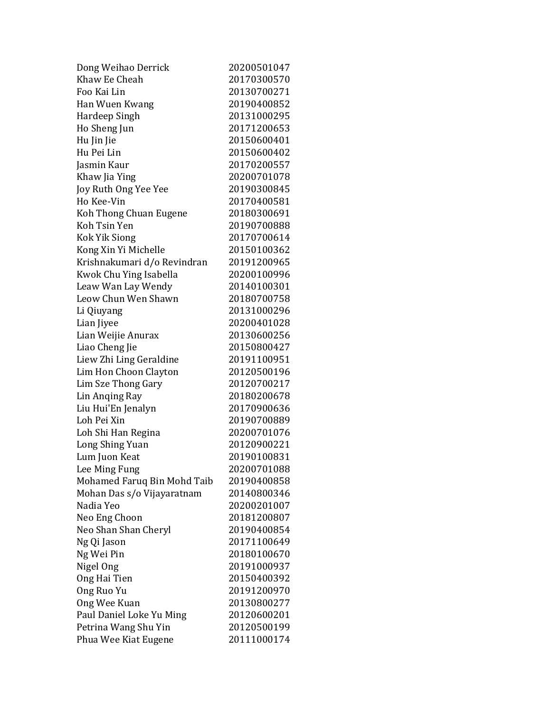| Dong Weihao Derrick         | 20200501047 |
|-----------------------------|-------------|
| Khaw Ee Cheah               | 20170300570 |
| Foo Kai Lin                 | 20130700271 |
| Han Wuen Kwang              | 20190400852 |
| Hardeep Singh               | 20131000295 |
| Ho Sheng Jun                | 20171200653 |
| Hu Jin Jie                  | 20150600401 |
| Hu Pei Lin                  | 20150600402 |
| Jasmin Kaur                 | 20170200557 |
| Khaw Jia Ying               | 20200701078 |
| Joy Ruth Ong Yee Yee        | 20190300845 |
| Ho Kee-Vin                  | 20170400581 |
| Koh Thong Chuan Eugene      | 20180300691 |
| Koh Tsin Yen                | 20190700888 |
| <b>Kok Yik Siong</b>        | 20170700614 |
| Kong Xin Yi Michelle        | 20150100362 |
| Krishnakumari d/o Revindran | 20191200965 |
|                             | 20200100996 |
| Kwok Chu Ying Isabella      |             |
| Leaw Wan Lay Wendy          | 20140100301 |
| Leow Chun Wen Shawn         | 20180700758 |
| Li Qiuyang                  | 20131000296 |
| Lian Jiyee                  | 20200401028 |
| Lian Weijie Anurax          | 20130600256 |
| Liao Cheng Jie              | 20150800427 |
| Liew Zhi Ling Geraldine     | 20191100951 |
| Lim Hon Choon Clayton       | 20120500196 |
| Lim Sze Thong Gary          | 20120700217 |
| Lin Anging Ray              | 20180200678 |
| Liu Hui'En Jenalyn          | 20170900636 |
| Loh Pei Xin                 | 20190700889 |
| Loh Shi Han Regina          | 20200701076 |
| Long Shing Yuan             | 20120900221 |
| Lum Juon Keat               | 20190100831 |
| Lee Ming Fung               | 20200701088 |
| Mohamed Faruq Bin Mohd Taib | 20190400858 |
| Mohan Das s/o Vijayaratnam  | 20140800346 |
| Nadia Yeo                   | 20200201007 |
| Neo Eng Choon               | 20181200807 |
| Neo Shan Shan Cheryl        | 20190400854 |
| Ng Qi Jason                 | 20171100649 |
| Ng Wei Pin                  | 20180100670 |
| Nigel Ong                   | 20191000937 |
| Ong Hai Tien                | 20150400392 |
| Ong Ruo Yu                  | 20191200970 |
| Ong Wee Kuan                | 20130800277 |
| Paul Daniel Loke Yu Ming    | 20120600201 |
| Petrina Wang Shu Yin        | 20120500199 |
| Phua Wee Kiat Eugene        | 20111000174 |
|                             |             |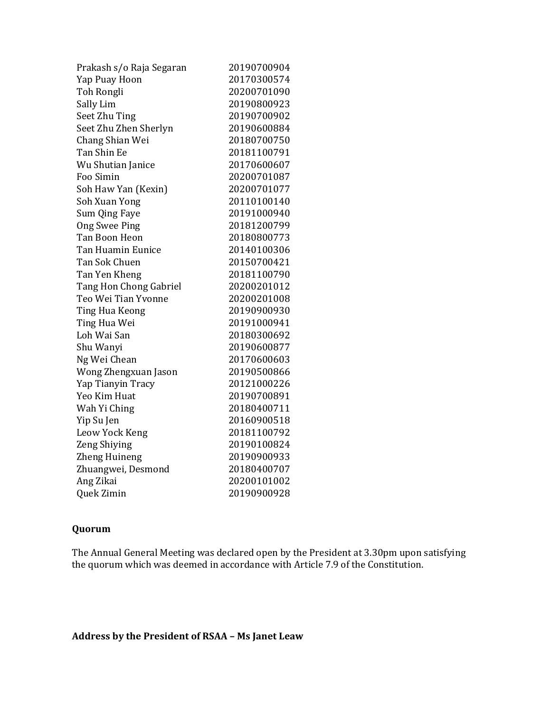| Prakash s/o Raja Segaran | 20190700904 |
|--------------------------|-------------|
| Yap Puay Hoon            | 20170300574 |
| Toh Rongli               | 20200701090 |
| Sally Lim                | 20190800923 |
| Seet Zhu Ting            | 20190700902 |
| Seet Zhu Zhen Sherlyn    | 20190600884 |
| Chang Shian Wei          | 20180700750 |
| Tan Shin Ee              | 20181100791 |
| Wu Shutian Janice        | 20170600607 |
| Foo Simin                | 20200701087 |
| Soh Haw Yan (Kexin)      | 20200701077 |
| Soh Xuan Yong            | 20110100140 |
| Sum Qing Faye            | 20191000940 |
| <b>Ong Swee Ping</b>     | 20181200799 |
| Tan Boon Heon            | 20180800773 |
| <b>Tan Huamin Eunice</b> | 20140100306 |
| Tan Sok Chuen            | 20150700421 |
| Tan Yen Kheng            | 20181100790 |
| Tang Hon Chong Gabriel   | 20200201012 |
| Teo Wei Tian Yvonne      | 20200201008 |
| Ting Hua Keong           | 20190900930 |
| Ting Hua Wei             | 20191000941 |
| Loh Wai San              | 20180300692 |
| Shu Wanyi                | 20190600877 |
| Ng Wei Chean             | 20170600603 |
| Wong Zhengxuan Jason     | 20190500866 |
| Yap Tianyin Tracy        | 20121000226 |
| Yeo Kim Huat             | 20190700891 |
| Wah Yi Ching             | 20180400711 |
| Yip Su Jen               | 20160900518 |
| Leow Yock Keng           | 20181100792 |
| Zeng Shiying             | 20190100824 |
| <b>Zheng Huineng</b>     | 20190900933 |
| Zhuangwei, Desmond       | 20180400707 |
| Ang Zikai                | 20200101002 |
| Quek Zimin               | 20190900928 |

# **Quorum**

The Annual General Meeting was declared open by the President at 3.30pm upon satisfying the quorum which was deemed in accordance with Article 7.9 of the Constitution.

# **Address by the President of RSAA – Ms Janet Leaw**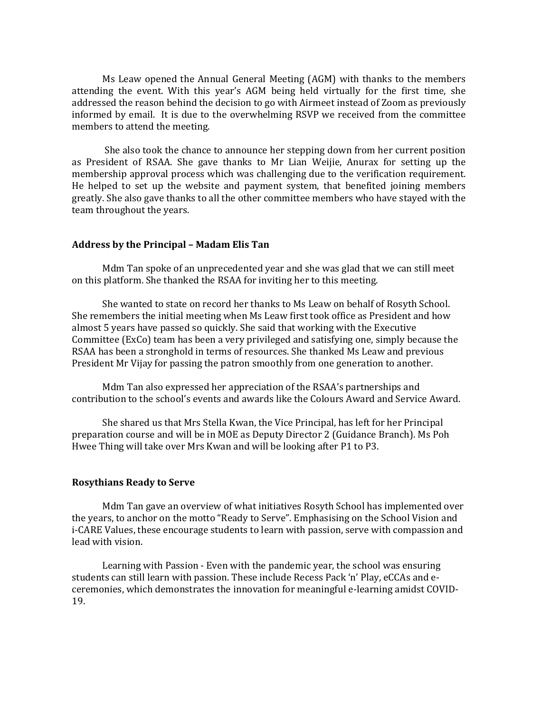Ms Leaw opened the Annual General Meeting (AGM) with thanks to the members attending the event. With this year's AGM being held virtually for the first time, she addressed the reason behind the decision to go with Airmeet instead of Zoom as previously informed by email. It is due to the overwhelming RSVP we received from the committee members to attend the meeting.

 She also took the chance to announce her stepping down from her current position as President of RSAA. She gave thanks to Mr Lian Weijie, Anurax for setting up the membership approval process which was challenging due to the verification requirement. He helped to set up the website and payment system, that benefited joining members greatly. She also gave thanks to all the other committee members who have stayed with the team throughout the years.

#### **Address by the Principal – Madam Elis Tan**

Mdm Tan spoke of an unprecedented year and she was glad that we can still meet on this platform. She thanked the RSAA for inviting her to this meeting.

She wanted to state on record her thanks to Ms Leaw on behalf of Rosyth School. She remembers the initial meeting when Ms Leaw first took office as President and how almost 5 years have passed so quickly. She said that working with the Executive Committee (ExCo) team has been a very privileged and satisfying one, simply because the RSAA has been a stronghold in terms of resources. She thanked Ms Leaw and previous President Mr Vijay for passing the patron smoothly from one generation to another.

Mdm Tan also expressed her appreciation of the RSAA's partnerships and contribution to the school's events and awards like the Colours Award and Service Award.

 She shared us that Mrs Stella Kwan, the Vice Principal, has left for her Principal preparation course and will be in MOE as Deputy Director 2 (Guidance Branch). Ms Poh Hwee Thing will take over Mrs Kwan and will be looking after P1 to P3.

#### **Rosythians Ready to Serve**

Mdm Tan gave an overview of what initiatives Rosyth School has implemented over the years, to anchor on the motto "Ready to Serve". Emphasising on the School Vision and i-CARE Values, these encourage students to learn with passion, serve with compassion and lead with vision.

Learning with Passion - Even with the pandemic year, the school was ensuring students can still learn with passion. These include Recess Pack 'n' Play, eCCAs and eceremonies, which demonstrates the innovation for meaningful e-learning amidst COVID-19.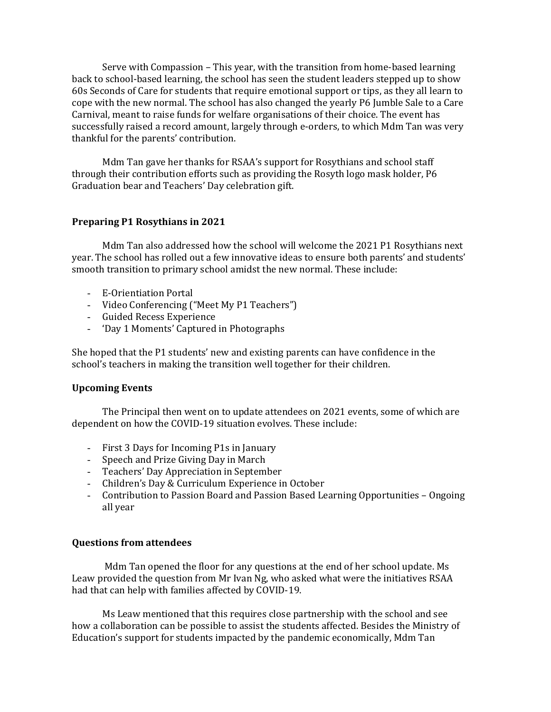Serve with Compassion – This year, with the transition from home-based learning back to school-based learning, the school has seen the student leaders stepped up to show 60s Seconds of Care for students that require emotional support or tips, as they all learn to cope with the new normal. The school has also changed the yearly P6 Jumble Sale to a Care Carnival, meant to raise funds for welfare organisations of their choice. The event has successfully raised a record amount, largely through e-orders, to which Mdm Tan was very thankful for the parents' contribution.

 Mdm Tan gave her thanks for RSAA's support for Rosythians and school staff through their contribution efforts such as providing the Rosyth logo mask holder, P6 Graduation bear and Teachers' Day celebration gift.

#### **Preparing P1 Rosythians in 2021**

Mdm Tan also addressed how the school will welcome the 2021 P1 Rosythians next year. The school has rolled out a few innovative ideas to ensure both parents' and students' smooth transition to primary school amidst the new normal. These include:

- E-Orientiation Portal
- Video Conferencing ("Meet My P1 Teachers")
- Guided Recess Experience
- 'Day 1 Moments' Captured in Photographs

She hoped that the P1 students' new and existing parents can have confidence in the school's teachers in making the transition well together for their children.

#### **Upcoming Events**

 The Principal then went on to update attendees on 2021 events, some of which are dependent on how the COVID-19 situation evolves. These include:

- First 3 Days for Incoming P1s in January
- Speech and Prize Giving Day in March
- Teachers' Day Appreciation in September
- Children's Day & Curriculum Experience in October
- Contribution to Passion Board and Passion Based Learning Opportunities Ongoing all year

#### **Questions from attendees**

 Mdm Tan opened the floor for any questions at the end of her school update. Ms Leaw provided the question from Mr Ivan Ng, who asked what were the initiatives RSAA had that can help with families affected by COVID-19.

 Ms Leaw mentioned that this requires close partnership with the school and see how a collaboration can be possible to assist the students affected. Besides the Ministry of Education's support for students impacted by the pandemic economically, Mdm Tan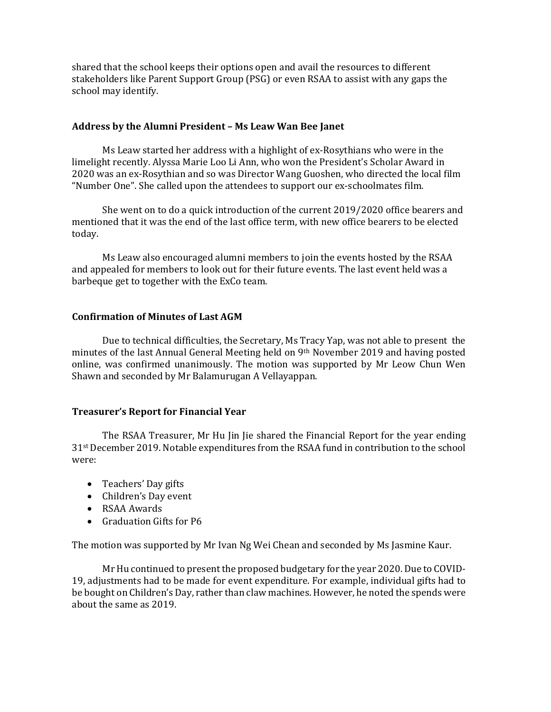shared that the school keeps their options open and avail the resources to different stakeholders like Parent Support Group (PSG) or even RSAA to assist with any gaps the school may identify.

#### **Address by the Alumni President – Ms Leaw Wan Bee Janet**

Ms Leaw started her address with a highlight of ex-Rosythians who were in the limelight recently. Alyssa Marie Loo Li Ann, who won the President's Scholar Award in 2020 was an ex-Rosythian and so was Director Wang Guoshen, who directed the local film "Number One". She called upon the attendees to support our ex-schoolmates film.

 She went on to do a quick introduction of the current 2019/2020 office bearers and mentioned that it was the end of the last office term, with new office bearers to be elected today.

 Ms Leaw also encouraged alumni members to join the events hosted by the RSAA and appealed for members to look out for their future events. The last event held was a barbeque get to together with the ExCo team.

#### **Confirmation of Minutes of Last AGM**

Due to technical difficulties, the Secretary, Ms Tracy Yap, was not able to present the minutes of the last Annual General Meeting held on 9th November 2019 and having posted online, was confirmed unanimously. The motion was supported by Mr Leow Chun Wen Shawn and seconded by Mr Balamurugan A Vellayappan.

#### **Treasurer's Report for Financial Year**

The RSAA Treasurer, Mr Hu Jin Jie shared the Financial Report for the year ending 31st December 2019. Notable expenditures from the RSAA fund in contribution to the school were:

- Teachers' Day gifts
- Children's Day event
- RSAA Awards
- Graduation Gifts for P6

The motion was supported by Mr Ivan Ng Wei Chean and seconded by Ms Jasmine Kaur.

Mr Hu continued to present the proposed budgetary for the year 2020. Due to COVID-19, adjustments had to be made for event expenditure. For example, individual gifts had to be bought on Children's Day, rather than claw machines. However, he noted the spends were about the same as 2019.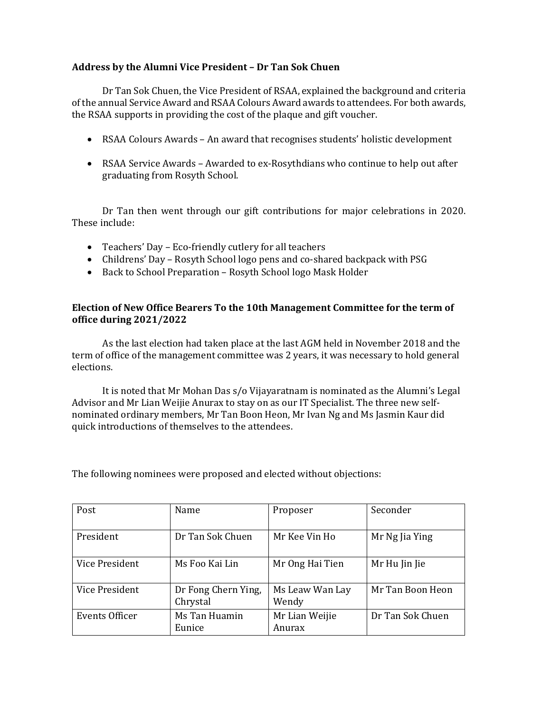### **Address by the Alumni Vice President – Dr Tan Sok Chuen**

Dr Tan Sok Chuen, the Vice President of RSAA, explained the background and criteria of the annual Service Award and RSAA Colours Award awards to attendees. For both awards, the RSAA supports in providing the cost of the plaque and gift voucher.

- RSAA Colours Awards An award that recognises students' holistic development
- RSAA Service Awards Awarded to ex-Rosythdians who continue to help out after graduating from Rosyth School.

 Dr Tan then went through our gift contributions for major celebrations in 2020. These include:

- Teachers' Day Eco-friendly cutlery for all teachers
- Childrens' Day Rosyth School logo pens and co-shared backpack with PSG
- Back to School Preparation Rosyth School logo Mask Holder

#### **Election of New Office Bearers To the 10th Management Committee for the term of office during 2021/2022**

As the last election had taken place at the last AGM held in November 2018 and the term of office of the management committee was 2 years, it was necessary to hold general elections.

It is noted that Mr Mohan Das s/o Vijayaratnam is nominated as the Alumni's Legal Advisor and Mr Lian Weijie Anurax to stay on as our IT Specialist. The three new selfnominated ordinary members, Mr Tan Boon Heon, Mr Ivan Ng and Ms Jasmin Kaur did quick introductions of themselves to the attendees.

The following nominees were proposed and elected without objections:

| Post           | Name                            | Proposer                 | Seconder         |
|----------------|---------------------------------|--------------------------|------------------|
| President      | Dr Tan Sok Chuen                | Mr Kee Vin Ho            | Mr Ng Jia Ying   |
| Vice President | Ms Foo Kai Lin                  | Mr Ong Hai Tien          | Mr Hu Jin Jie    |
| Vice President | Dr Fong Chern Ying,<br>Chrystal | Ms Leaw Wan Lay<br>Wendy | Mr Tan Boon Heon |
| Events Officer | Ms Tan Huamin<br>Eunice         | Mr Lian Weijie<br>Anurax | Dr Tan Sok Chuen |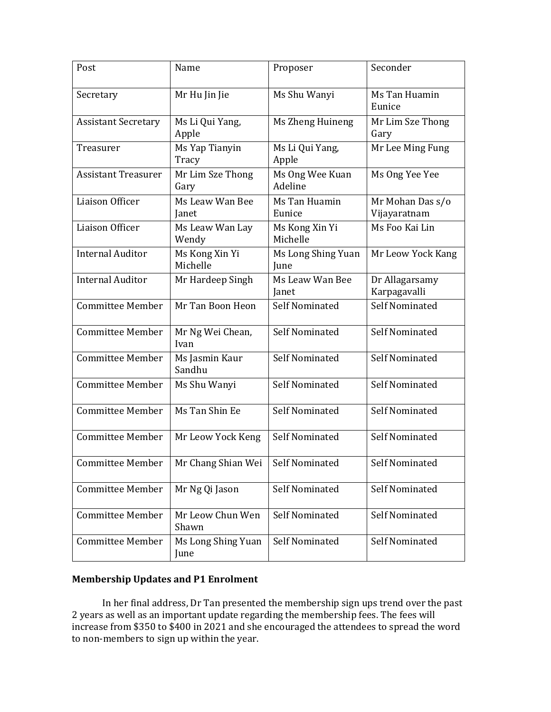| Post                       | Name                                | Proposer                   | Seconder                         |
|----------------------------|-------------------------------------|----------------------------|----------------------------------|
| Secretary                  | Mr Hu Jin Jie                       | Ms Shu Wanyi               | Ms Tan Huamin<br>Eunice          |
| <b>Assistant Secretary</b> | Ms Li Qui Yang,<br>Apple            | Ms Zheng Huineng           | Mr Lim Sze Thong<br>Gary         |
| Treasurer                  | Ms Yap Tianyin<br>Tracy             | Ms Li Qui Yang,<br>Apple   | Mr Lee Ming Fung                 |
| <b>Assistant Treasurer</b> | Mr Lim Sze Thong<br>Gary            | Ms Ong Wee Kuan<br>Adeline | Ms Ong Yee Yee                   |
| Liaison Officer            | Ms Leaw Wan Bee<br>Janet            | Ms Tan Huamin<br>Eunice    | Mr Mohan Das s/o<br>Vijayaratnam |
| Liaison Officer            | Ms Leaw Wan Lay<br>Wendy            | Ms Kong Xin Yi<br>Michelle | Ms Foo Kai Lin                   |
| <b>Internal Auditor</b>    | Ms Kong Xin Yi<br>Michelle          | Ms Long Shing Yuan<br>June | Mr Leow Yock Kang                |
| <b>Internal Auditor</b>    | Mr Hardeep Singh                    | Ms Leaw Wan Bee<br>Janet   | Dr Allagarsamy<br>Karpagavalli   |
| <b>Committee Member</b>    | Mr Tan Boon Heon                    | <b>Self Nominated</b>      | Self Nominated                   |
| <b>Committee Member</b>    | Mr Ng Wei Chean,<br>Ivan            | <b>Self Nominated</b>      | Self Nominated                   |
| <b>Committee Member</b>    | Ms Jasmin Kaur<br>Sandhu            | <b>Self Nominated</b>      | Self Nominated                   |
| <b>Committee Member</b>    | Ms Shu Wanyi                        | <b>Self Nominated</b>      | Self Nominated                   |
| <b>Committee Member</b>    | Ms Tan Shin Ee                      | Self Nominated             | Self Nominated                   |
| <b>Committee Member</b>    | Mr Leow Yock Keng                   | Self Nominated             | Self Nominated                   |
| Committee Member           | Mr Chang Shian Wei   Self Nominated |                            | Self Nominated                   |
| <b>Committee Member</b>    | Mr Ng Qi Jason                      | Self Nominated             | Self Nominated                   |
| <b>Committee Member</b>    | Mr Leow Chun Wen<br>Shawn           | Self Nominated             | Self Nominated                   |
| <b>Committee Member</b>    | Ms Long Shing Yuan<br>June          | Self Nominated             | Self Nominated                   |

# **Membership Updates and P1 Enrolment**

In her final address, Dr Tan presented the membership sign ups trend over the past 2 years as well as an important update regarding the membership fees. The fees will increase from \$350 to \$400 in 2021 and she encouraged the attendees to spread the word to non-members to sign up within the year.